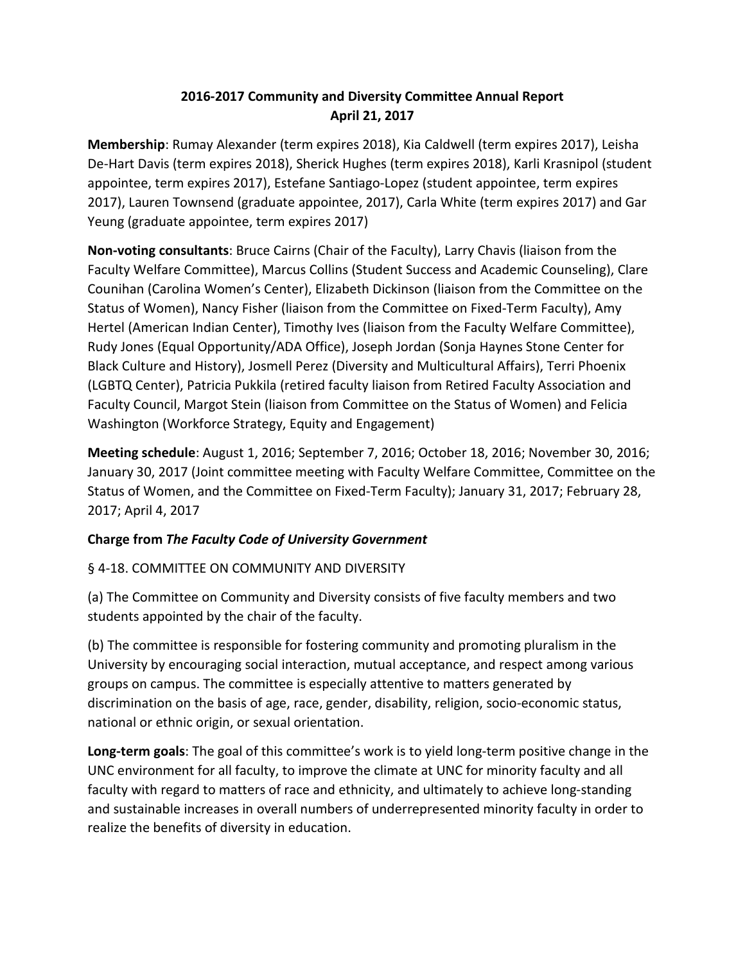## **2016-2017 Community and Diversity Committee Annual Report April 21, 2017**

**Membership**: Rumay Alexander (term expires 2018), Kia Caldwell (term expires 2017), Leisha De-Hart Davis (term expires 2018), Sherick Hughes (term expires 2018), Karli Krasnipol (student appointee, term expires 2017), Estefane Santiago-Lopez (student appointee, term expires 2017), Lauren Townsend (graduate appointee, 2017), Carla White (term expires 2017) and Gar Yeung (graduate appointee, term expires 2017)

**Non-voting consultants**: Bruce Cairns (Chair of the Faculty), Larry Chavis (liaison from the Faculty Welfare Committee), Marcus Collins (Student Success and Academic Counseling), Clare Counihan (Carolina Women's Center), Elizabeth Dickinson (liaison from the Committee on the Status of Women), Nancy Fisher (liaison from the Committee on Fixed-Term Faculty), Amy Hertel (American Indian Center), Timothy Ives (liaison from the Faculty Welfare Committee), Rudy Jones (Equal Opportunity/ADA Office), Joseph Jordan (Sonja Haynes Stone Center for Black Culture and History), Josmell Perez (Diversity and Multicultural Affairs), Terri Phoenix (LGBTQ Center), Patricia Pukkila (retired faculty liaison from Retired Faculty Association and Faculty Council, Margot Stein (liaison from Committee on the Status of Women) and Felicia Washington (Workforce Strategy, Equity and Engagement)

**Meeting schedule**: August 1, 2016; September 7, 2016; October 18, 2016; November 30, 2016; January 30, 2017 (Joint committee meeting with Faculty Welfare Committee, Committee on the Status of Women, and the Committee on Fixed-Term Faculty); January 31, 2017; February 28, 2017; April 4, 2017

## **Charge from** *The Faculty Code of University Government*

## § 4-18. COMMITTEE ON COMMUNITY AND DIVERSITY

(a) The Committee on Community and Diversity consists of five faculty members and two students appointed by the chair of the faculty.

(b) The committee is responsible for fostering community and promoting pluralism in the University by encouraging social interaction, mutual acceptance, and respect among various groups on campus. The committee is especially attentive to matters generated by discrimination on the basis of age, race, gender, disability, religion, socio-economic status, national or ethnic origin, or sexual orientation.

**Long-term goals**: The goal of this committee's work is to yield long-term positive change in the UNC environment for all faculty, to improve the climate at UNC for minority faculty and all faculty with regard to matters of race and ethnicity, and ultimately to achieve long-standing and sustainable increases in overall numbers of underrepresented minority faculty in order to realize the benefits of diversity in education.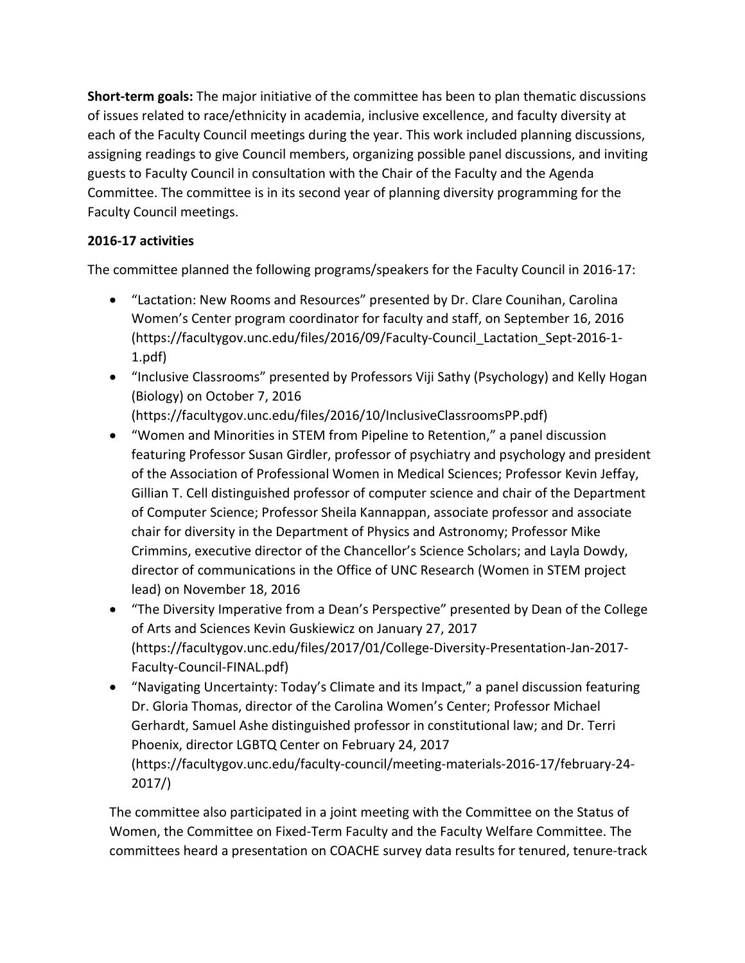**Short-term goals:** The major initiative of the committee has been to plan thematic discussions of issues related to race/ethnicity in academia, inclusive excellence, and faculty diversity at each of the Faculty Council meetings during the year. This work included planning discussions, assigning readings to give Council members, organizing possible panel discussions, and inviting guests to Faculty Council in consultation with the Chair of the Faculty and the Agenda Committee. The committee is in its second year of planning diversity programming for the Faculty Council meetings.

## **2016-17 activities**

The committee planned the following programs/speakers for the Faculty Council in 2016-17:

- "Lactation: New Rooms and Resources" presented by Dr. Clare Counihan, Carolina Women's Center program coordinator for faculty and staff, on September 16, 2016 (https://facultygov.unc.edu/files/2016/09/Faculty-Council\_Lactation\_Sept-2016-1- 1.pdf)
- "Inclusive Classrooms" presented by Professors Viji Sathy (Psychology) and Kelly Hogan (Biology) on October 7, 2016 (https://facultygov.unc.edu/files/2016/10/InclusiveClassroomsPP.pdf)
- "Women and Minorities in STEM from Pipeline to Retention," a panel discussion featuring Professor Susan Girdler, professor of psychiatry and psychology and president of the Association of Professional Women in Medical Sciences; Professor Kevin Jeffay, Gillian T. Cell distinguished professor of computer science and chair of the Department of Computer Science; Professor Sheila Kannappan, associate professor and associate chair for diversity in the Department of Physics and Astronomy; Professor Mike Crimmins, executive director of the Chancellor's Science Scholars; and Layla Dowdy, director of communications in the Office of UNC Research (Women in STEM project lead) on November 18, 2016
- "The Diversity Imperative from a Dean's Perspective" presented by Dean of the College of Arts and Sciences Kevin Guskiewicz on January 27, 2017 (https://facultygov.unc.edu/files/2017/01/College-Diversity-Presentation-Jan-2017- Faculty-Council-FINAL.pdf)
- "Navigating Uncertainty: Today's Climate and its Impact," a panel discussion featuring Dr. Gloria Thomas, director of the Carolina Women's Center; Professor Michael Gerhardt, Samuel Ashe distinguished professor in constitutional law; and Dr. Terri Phoenix, director LGBTQ Center on February 24, 2017 (https://facultygov.unc.edu/faculty-council/meeting-materials-2016-17/february-24- 2017/)

The committee also participated in a joint meeting with the Committee on the Status of Women, the Committee on Fixed-Term Faculty and the Faculty Welfare Committee. The committees heard a presentation on COACHE survey data results for tenured, tenure-track